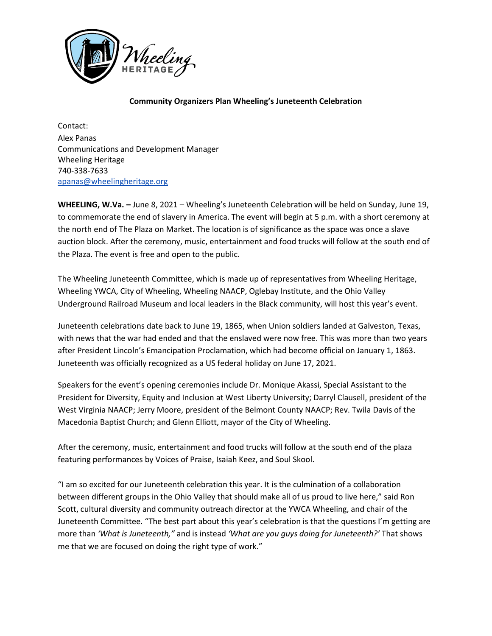

## **Community Organizers Plan Wheeling's Juneteenth Celebration**

Contact: Alex Panas Communications and Development Manager Wheeling Heritage 740-338-7633 apanas@wheelingheritage.org

**WHEELING, W.Va. –** June 8, 2021 – Wheeling's Juneteenth Celebration will be held on Sunday, June 19, to commemorate the end of slavery in America. The event will begin at 5 p.m. with a short ceremony at the north end of The Plaza on Market. The location is of significance as the space was once a slave auction block. After the ceremony, music, entertainment and food trucks will follow at the south end of the Plaza. The event is free and open to the public.

The Wheeling Juneteenth Committee, which is made up of representatives from Wheeling Heritage, Wheeling YWCA, City of Wheeling, Wheeling NAACP, Oglebay Institute, and the Ohio Valley Underground Railroad Museum and local leaders in the Black community, will host this year's event.

Juneteenth celebrations date back to June 19, 1865, when Union soldiers landed at Galveston, Texas, with news that the war had ended and that the enslaved were now free. This was more than two years after President Lincoln's Emancipation Proclamation, which had become official on January 1, 1863. Juneteenth was officially recognized as a US federal holiday on June 17, 2021.

Speakers for the event's opening ceremonies include Dr. Monique Akassi, Special Assistant to the President for Diversity, Equity and Inclusion at West Liberty University; Darryl Clausell, president of the West Virginia NAACP; Jerry Moore, president of the Belmont County NAACP; Rev. Twila Davis of the Macedonia Baptist Church; and Glenn Elliott, mayor of the City of Wheeling.

After the ceremony, music, entertainment and food trucks will follow at the south end of the plaza featuring performances by Voices of Praise, Isaiah Keez, and Soul Skool.

"I am so excited for our Juneteenth celebration this year. It is the culmination of a collaboration between different groups in the Ohio Valley that should make all of us proud to live here," said Ron Scott, cultural diversity and community outreach director at the YWCA Wheeling, and chair of the Juneteenth Committee. "The best part about this year's celebration is that the questions I'm getting are more than *'What is Juneteenth,"* and is instead *'What are you guys doing for Juneteenth?'* That shows me that we are focused on doing the right type of work."